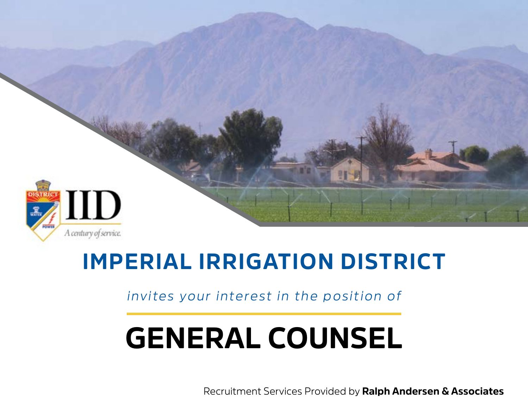

## **IMPERIAL IRRIGATION DISTRICT**

*invites your interest in the position of*

# **GENERAL COUNSEL**

Recruitment Services Provided by **Ralph Andersen & Associates**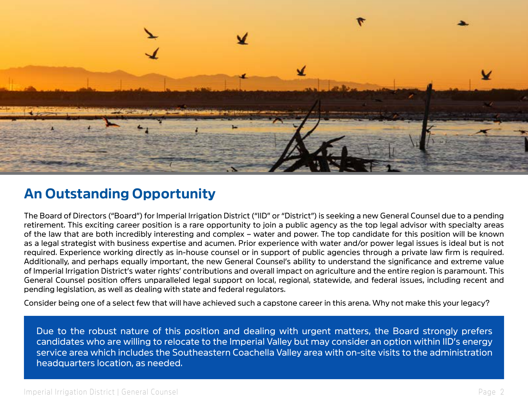

## **An Outstanding Opportunity**

The Board of Directors ("Board") for Imperial Irrigation District ("IID" or "District") is seeking a new General Counsel due to a pending retirement. This exciting career position is a rare opportunity to join a public agency as the top legal advisor with specialty areas of the law that are both incredibly interesting and complex – water and power. The top candidate for this position will be known as a legal strategist with business expertise and acumen. Prior experience with water and/or power legal issues is ideal but is not required. Experience working directly as in-house counsel or in support of public agencies through a private law firm is required. Additionally, and perhaps equally important, the new General Counsel's ability to understand the significance and extreme value of Imperial Irrigation District's water rights' contributions and overall impact on agriculture and the entire region is paramount. This General Counsel position offers unparalleled legal support on local, regional, statewide, and federal issues, including recent and pending legislation, as well as dealing with state and federal regulators.

Consider being one of a select few that will have achieved such a capstone career in this arena. Why not make this your legacy?

Due to the robust nature of this position and dealing with urgent matters, the Board strongly prefers candidates who are willing to relocate to the Imperial Valley but may consider an option within IID's energy service area which includes the Southeastern Coachella Valley area with on-site visits to the administration headquarters location, as needed.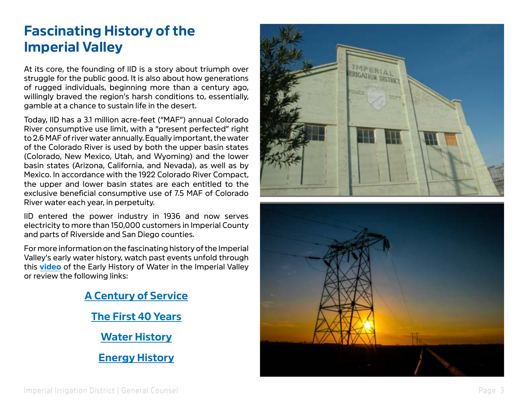## **Fascinating History of the Imperial Valley**

At its core, the founding of IID is a story about triumph over struggle for the public good. It is also about how generations of rugged individuals, beginning more than a century ago, willingly brayed the region's harsh conditions to, essentially, gamble at a chance to sustain life in the desert.

Today, IID has a 3.1 million acre-feet ("MAF") annual Colorado River consumptive use limit, with a "present perfected" right to 2.6 MAF of river water annually. Equally important, the water of the Colorado River is used by both the upper basin states (Colorado, New Mexico, Utah, and Wyoming) and the lower basin states (Arizona, California, and Nevada), as well as by Mexico. In accordance with the 1922 Colorado River Compact, the upper and lower basin states are each entitled to the exclusive beneficial consumptive use of 7.5 MAF of Colorado River water each year, in perpetuity.

IID entered the power industry in 1936 and now serves electricity to more than 150,000 customers in Imperial County and parts of Riverside and San Diego counties.

For more information on the fascinating history of the Imperial Valley's early water history, watch past events unfold through this **[video](https://www.youtube.com/watch?v=KAsntugo710)** of the Early History of Water in the Imperial Valley or review the following links:





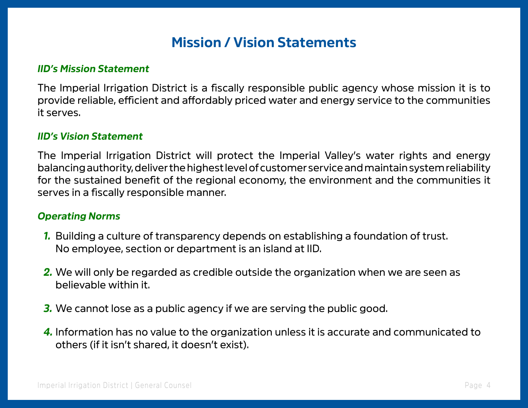## **Mission / Vision Statements**

#### *IID's Mission Statement*

The Imperial Irrigation District is a fiscally responsible public agency whose mission it is to provide reliable, efficient and affordably priced water and energy service to the communities it serves.

#### *IID's Vision Statement*

The Imperial Irrigation District will protect the Imperial Valley's water rights and energy balancing authority, deliver the highest level of customer service and maintain system reliability for the sustained benefit of the regional economy, the environment and the communities it serves in a fiscally responsible manner.

#### *Operating Norms*

- *1.* Building a culture of transparency depends on establishing a foundation of trust. No employee, section or department is an island at IID.
- *2.* We will only be regarded as credible outside the organization when we are seen as believable within it.
- *3.* We cannot lose as a public agency if we are serving the public good.
- *4.* Information has no value to the organization unless it is accurate and communicated to others (if it isn't shared, it doesn't exist).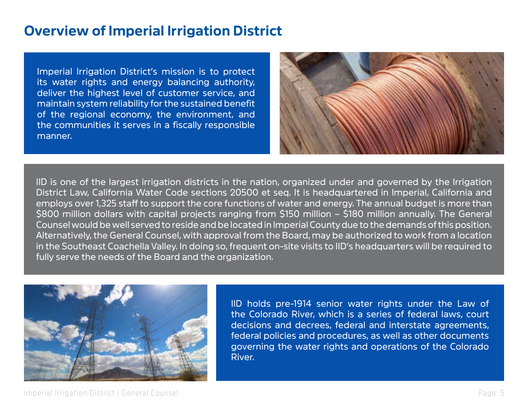## **Overview of Imperial Irrigation District**

Imperial Irrigation District's mission is to protect its water rights and energy balancing authority, deliver the highest level of customer service, and maintain system reliability for the sustained benefit of the regional economy, the environment, and the communities it serves in a fiscally responsible manner.



IID is one of the largest irrigation districts in the nation, organized under and governed by the Irrigation District Law, California Water Code sections 20500 et seq. It is headquartered in Imperial, California and employs over 1,325 staff to support the core functions of water and energy. The annual budget is more than \$800 million dollars with capital projects ranging from \$150 million – \$180 million annually. The General Counsel would be well served to reside and be located in Imperial County due to the demands of this position. Alternatively, the General Counsel, with approval from the Board, may be authorized to work from a location in the Southeast Coachella Valley. In doing so, frequent on-site visits to IID's headquarters will be required to fully serve the needs of the Board and the organization.



IID holds pre-1914 senior water rights under the Law of the Colorado River, which is a series of federal laws, court decisions and decrees, federal and interstate agreements, federal policies and procedures, as well as other documents governing the water rights and operations of the Colorado River.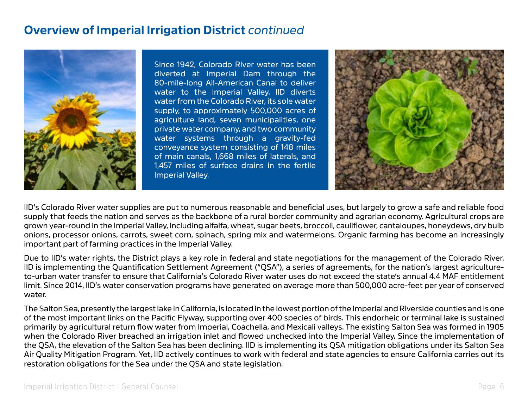#### **Overview of Imperial Irrigation District** *continued*



Since 1942, Colorado River water has been diverted at Imperial Dam through the 80-mile-long All-American Canal to deliver water to the Imperial Valley. IID diverts water from the Colorado River, its sole water supply, to approximately 500,000 acres of agriculture land, seven municipalities, one private water company, and two community water systems through a gravity-fed conveyance system consisting of 148 miles of main canals, 1,668 miles of laterals, and 1,457 miles of surface drains in the fertile Imperial Valley.



IID's Colorado River water supplies are put to numerous reasonable and beneficial uses, but largely to grow a safe and reliable food supply that feeds the nation and serves as the backbone of a rural border community and agrarian economy. Agricultural crops are grown year-round in the Imperial Valley, including alfalfa, wheat, sugar beets, broccoli, cauliflower, cantaloupes, honeydews, dry bulb onions, processor onions, carrots, sweet corn, spinach, spring mix and watermelons. Organic farming has become an increasingly important part of farming practices in the Imperial Valley.

Due to IID's water rights, the District plays a key role in federal and state negotiations for the management of the Colorado River. IID is implementing the Quantification Settlement Agreement ("QSA"), a series of agreements, for the nation's largest agricultureto-urban water transfer to ensure that California's Colorado River water uses do not exceed the state's annual 4.4 MAF entitlement limit. Since 2014, IID's water conservation programs have generated on average more than 500,000 acre-feet per year of conserved water.

The Salton Sea, presently the largest lake in California, is located in the lowest portion of the Imperial and Riverside counties and is one of the most important links on the Pacific Flyway, supporting over 400 species of birds. This endorheic or terminal lake is sustained primarily by agricultural return flow water from Imperial, Coachella, and Mexicali valleys. The existing Salton Sea was formed in 1905 when the Colorado River breached an irrigation inlet and flowed unchecked into the Imperial Valley. Since the implementation of the QSA, the elevation of the Salton Sea has been declining. IID is implementing its QSA mitigation obligations under its Salton Sea Air Quality Mitigation Program. Yet, IID actively continues to work with federal and state agencies to ensure California carries out its restoration obligations for the Sea under the QSA and state legislation.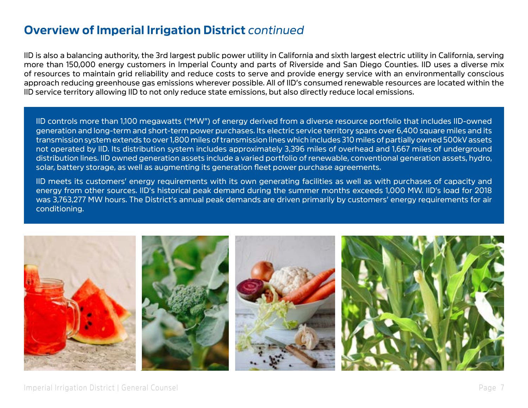### **Overview of Imperial Irrigation District** *continued*

IID is also a balancing authority, the 3rd largest public power utility in California and sixth largest electric utility in California, serving more than 150,000 energy customers in Imperial County and parts of Riverside and San Diego Counties. IID uses a diverse mix of resources to maintain grid reliability and reduce costs to serve and provide energy service with an environmentally conscious approach reducing greenhouse gas emissions wherever possible. All of IID's consumed renewable resources are located within the IID service territory allowing IID to not only reduce state emissions, but also directly reduce local emissions.

IID controls more than 1,100 megawatts ("MW") of energy derived from a diverse resource portfolio that includes IID-owned generation and long-term and short-term power purchases. Its electric service territory spans over 6,400 square miles and its transmission system extends to over 1,800 miles of transmission lines which includes 310 miles of partially owned 500kV assets not operated by IID. Its distribution system includes approximately 3,396 miles of overhead and 1,667 miles of underground distribution lines. IID owned generation assets include a varied portfolio of renewable, conventional generation assets, hydro, solar, battery storage, as well as augmenting its generation fleet power purchase agreements.

IID meets its customers' energy requirements with its own generating facilities as well as with purchases of capacity and energy from other sources. IID's historical peak demand during the summer months exceeds 1,000 MW. IID's load for 2018 was 3,763,277 MW hours. The District's annual peak demands are driven primarily by customers' energy requirements for air conditioning.

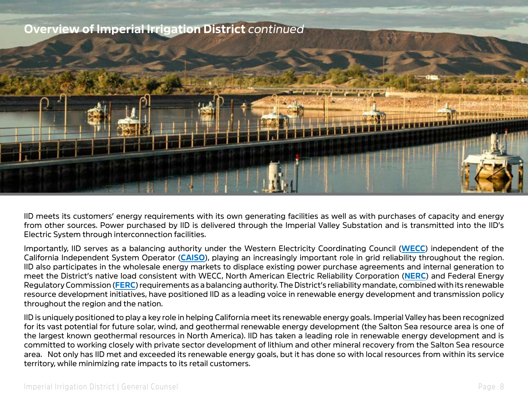

IID meets its customers' energy requirements with its own generating facilities as well as with purchases of capacity and energy from other sources. Power purchased by IID is delivered through the Imperial Valley Substation and is transmitted into the IID's Electric System through interconnection facilities.

Importantly, IID serves as a balancing authority under the Western Electricity Coordinating Council (**[WECC](https://www.wecc.org/Pages/home.aspx)**) independent of the California Independent System Operator (**[CAISO](http://www.caiso.com/Pages/default.aspx)**), playing an increasingly important role in grid reliability throughout the region. IID also participates in the wholesale energy markets to displace existing power purchase agreements and internal generation to meet the District's native load consistent with WECC, North American Electric Reliability Corporation (**[NERC](https://www.nerc.com/Pages/default.aspx)**) and Federal Energy Regulatory Commission (**[FERC](https://www.ferc.gov/)**) requirements as a balancing authority. The District's reliability mandate, combined with its renewable resource development initiatives, have positioned IID as a leading voice in renewable energy development and transmission policy throughout the region and the nation.

IID is uniquely positioned to play a key role in helping California meet its renewable energy goals. Imperial Valley has been recognized for its vast potential for future solar, wind, and geothermal renewable energy development (the Salton Sea resource area is one of the largest known geothermal resources in North America). IID has taken a leading role in renewable energy development and is committed to working closely with private sector development of lithium and other mineral recovery from the Salton Sea resource area. Not only has IID met and exceeded its renewable energy goals, but it has done so with local resources from within its service territory, while minimizing rate impacts to its retail customers.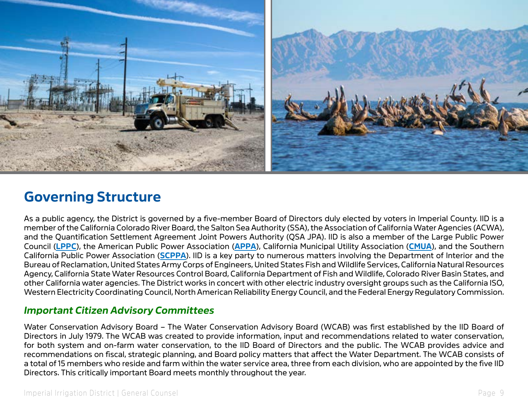

## **Governing Structure**

As a public agency, the District is governed by a five-member Board of Directors duly elected by voters in Imperial County. IID is a member of the California Colorado River Board, the Salton Sea Authority (SSA), the Association of California Water Agencies (ACWA), and the Quantification Settlement Agreement Joint Powers Authority (QSA JPA). IID is also a member of the Large Public Power Council (**[LPPC](https://www.lppc.org/)**), the American Public Power Association (**[APPA](https://www.publicpower.org/)**), California Municipal Utility Association (**[CMUA](https://www.cmua.org/)**), and the Southern California Public Power Association (**[SCPPA](http://www.scppa.org/)**). IID is a key party to numerous matters involving the Department of Interior and the Bureau of Reclamation, United States Army Corps of Engineers, United States Fish and Wildlife Services, California Natural Resources Agency, California State Water Resources Control Board, California Department of Fish and Wildlife, Colorado River Basin States, and other California water agencies. The District works in concert with other electric industry oversight groups such as the California ISO, Western Electricity Coordinating Council, North American Reliability Energy Council, and the Federal Energy Regulatory Commission.

#### *Important Citizen Advisory Committees*

Water Conservation Advisory Board – The Water Conservation Advisory Board (WCAB) was first established by the IID Board of Directors in July 1979. The WCAB was created to provide information, input and recommendations related to water conservation, for both system and on-farm water conservation, to the IID Board of Directors and the public. The WCAB provides advice and recommendations on fiscal, strategic planning, and Board policy matters that affect the Water Department. The WCAB consists of a total of 15 members who reside and farm within the water service area, three from each division, who are appointed by the five IID Directors. This critically important Board meets monthly throughout the year.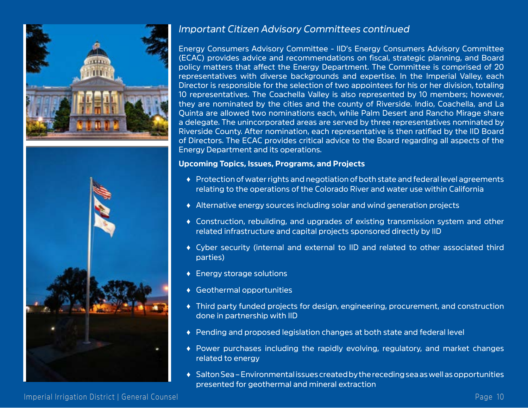



#### *Important Citizen Advisory Committees continued*

Energy Consumers Advisory Committee - IID's Energy Consumers Advisory Committee (ECAC) provides advice and recommendations on fiscal, strategic planning, and Board policy matters that affect the Energy Department. The Committee is comprised of 20 representatives with diverse backgrounds and expertise. In the Imperial Valley, each Director is responsible for the selection of two appointees for his or her division, totaling 10 representatives. The Coachella Valley is also represented by 10 members; however, they are nominated by the cities and the county of Riverside. Indio, Coachella, and La Quinta are allowed two nominations each, while Palm Desert and Rancho Mirage share a delegate. The unincorporated areas are served by three representatives nominated by Riverside County. After nomination, each representative is then ratified by the IID Board of Directors. The ECAC provides critical advice to the Board regarding all aspects of the Energy Department and its operations.

#### **Upcoming Topics, Issues, Programs, and Projects**

- ♦ Protection of water rights and negotiation of both state and federal level agreements relating to the operations of the Colorado River and water use within California
- ♦ Alternative energy sources including solar and wind generation projects
- ♦ Construction, rebuilding, and upgrades of existing transmission system and other related infrastructure and capital projects sponsored directly by IID
- ♦ Cyber security (internal and external to IID and related to other associated third parties)
- ♦ Energy storage solutions
- ♦ Geothermal opportunities
- ♦ Third party funded projects for design, engineering, procurement, and construction done in partnership with IID
- ♦ Pending and proposed legislation changes at both state and federal level
- ♦ Power purchases including the rapidly evolving, regulatory, and market changes related to energy
- ♦ Salton Sea Environmental issues created by the receding sea as well as opportunities presented for geothermal and mineral extraction

Imperial Irrigation District | General Counsel Page 10 and 200 and 200 and 200 and 200 and 200 and 200 and 200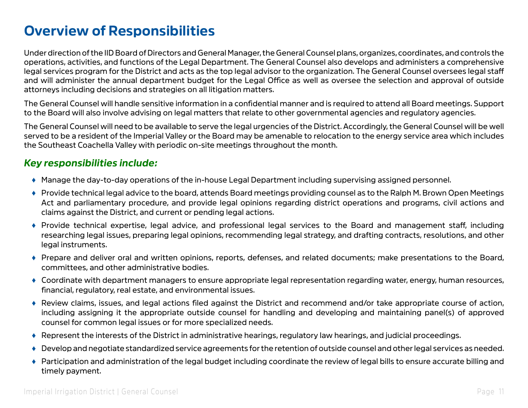## **Overview of Responsibilities**

Under direction of the IID Board of Directors and General Manager, the General Counsel plans, organizes, coordinates, and controls the operations, activities, and functions of the Legal Department. The General Counsel also develops and administers a comprehensive legal services program for the District and acts as the top legal advisor to the organization. The General Counsel oversees legal staff and will administer the annual department budget for the Legal Office as well as oversee the selection and approval of outside attorneys including decisions and strategies on all litigation matters.

The General Counsel will handle sensitive information in a confidential manner and is required to attend all Board meetings. Support to the Board will also involve advising on legal matters that relate to other governmental agencies and regulatory agencies.

The General Counsel will need to be available to serve the legal urgencies of the District. Accordingly, the General Counsel will be well served to be a resident of the Imperial Valley or the Board may be amenable to relocation to the energy service area which includes the Southeast Coachella Valley with periodic on-site meetings throughout the month.

#### *Key responsibilities include:*

- ♦ Manage the day-to-day operations of the in-house Legal Department including supervising assigned personnel.
- ♦ Provide technical legal advice to the board, attends Board meetings providing counsel as to the Ralph M. Brown Open Meetings Act and parliamentary procedure, and provide legal opinions regarding district operations and programs, civil actions and claims against the District, and current or pending legal actions.
- ♦ Provide technical expertise, legal advice, and professional legal services to the Board and management staff, including researching legal issues, preparing legal opinions, recommending legal strategy, and drafting contracts, resolutions, and other legal instruments.
- ♦ Prepare and deliver oral and written opinions, reports, defenses, and related documents; make presentations to the Board, committees, and other administrative bodies.
- ♦ Coordinate with department managers to ensure appropriate legal representation regarding water, energy, human resources, financial, regulatory, real estate, and environmental issues.
- ♦ Review claims, issues, and legal actions filed against the District and recommend and/or take appropriate course of action, including assigning it the appropriate outside counsel for handling and developing and maintaining panel(s) of approved counsel for common legal issues or for more specialized needs.
- ♦ Represent the interests of the District in administrative hearings, regulatory law hearings, and judicial proceedings.
- ♦ Develop and negotiate standardized service agreements for the retention of outside counsel and other legal services as needed.
- ♦ Participation and administration of the legal budget including coordinate the review of legal bills to ensure accurate billing and timely payment.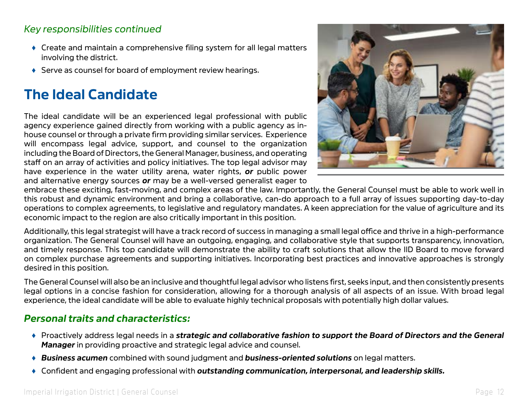#### *Key responsibilities continued*

- $\triangle$  Create and maintain a comprehensive filing system for all legal matters involving the district.
- ♦ Serve as counsel for board of employment review hearings.

## **The Ideal Candidate**

The ideal candidate will be an experienced legal professional with public agency experience gained directly from working with a public agency as inhouse counsel or through a private firm providing similar services. Experience will encompass legal advice, support, and counsel to the organization including the Board of Directors, the General Manager, business, and operating staff on an array of activities and policy initiatives. The top legal advisor may have experience in the water utility arena, water rights, *or* public power and alternative energy sources *or* may be a well-versed generalist eager to



embrace these exciting, fast-moving, and complex areas of the law. Importantly, the General Counsel must be able to work well in this robust and dynamic environment and bring a collaborative, can-do approach to a full array of issues supporting day-to-day operations to complex agreements, to legislative and regulatory mandates. A keen appreciation for the value of agriculture and its economic impact to the region are also critically important in this position.

Additionally, this legal strategist will have a track record of success in managing a small legal office and thrive in a high-performance organization. The General Counsel will have an outgoing, engaging, and collaborative style that supports transparency, innovation, and timely response. This top candidate will demonstrate the ability to craft solutions that allow the IID Board to move forward on complex purchase agreements and supporting initiatives. Incorporating best practices and innovative approaches is strongly desired in this position.

The General Counsel will also be an inclusive and thoughtful legal advisor who listens first, seeks input, and then consistently presents legal options in a concise fashion for consideration, allowing for a thorough analysis of all aspects of an issue. With broad legal experience, the ideal candidate will be able to evaluate highly technical proposals with potentially high dollar values.

#### *Personal traits and characteristics:*

- ♦ Proactively address legal needs in a *strategic and collaborative fashion to support the Board of Directors and the General Manager* in providing proactive and strategic legal advice and counsel.
- ♦ *Business acumen* combined with sound judgment and *business-oriented solutions* on legal matters.
- ♦ Confident and engaging professional with *outstanding communication, interpersonal, and leadership skills.*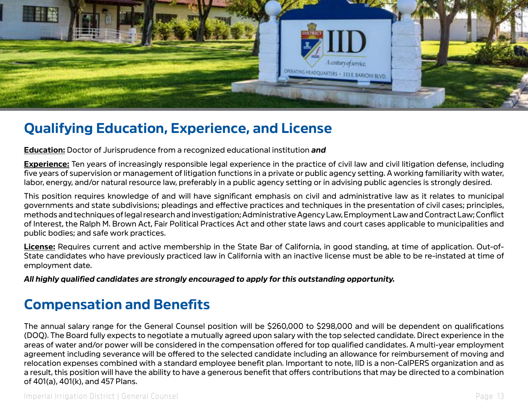

## **Qualifying Education, Experience, and License**

**Education:** Doctor of Jurisprudence from a recognized educational institution *and*

**Experience:** Ten years of increasingly responsible legal experience in the practice of civil law and civil litigation defense, including five years of supervision or management of litigation functions in a private or public agency setting. A working familiarity with water, labor, energy, and/or natural resource law, preferably in a public agency setting or in advising public agencies is strongly desired.

This position requires knowledge of and will have significant emphasis on civil and administrative law as it relates to municipal governments and state subdivisions; pleadings and effective practices and techniques in the presentation of civil cases; principles, methods and techniques of legal research and investigation; Administrative Agency Law, Employment Law and Contract Law; Conflict of Interest, the Ralph M. Brown Act, Fair Political Practices Act and other state laws and court cases applicable to municipalities and public bodies; and safe work practices.

**License:** Requires current and active membership in the State Bar of California, in good standing, at time of application. Out-of-State candidates who have previously practiced law in California with an inactive license must be able to be re-instated at time of employment date.

*All highly qualified candidates are strongly encouraged to apply for this outstanding opportunity.* 

## **Compensation and Benefits**

The annual salary range for the General Counsel position will be \$260,000 to \$298,000 and will be dependent on qualifications (DOQ). The Board fully expects to negotiate a mutually agreed upon salary with the top selected candidate. Direct experience in the areas of water and/or power will be considered in the compensation offered for top qualified candidates. A multi-year employment agreement including severance will be offered to the selected candidate including an allowance for reimbursement of moving and relocation expenses combined with a standard employee benefit plan. Important to note, IID is a non-CalPERS organization and as a result, this position will have the ability to have a generous benefit that offers contributions that may be directed to a combination of 401(a), 401(k), and 457 Plans.